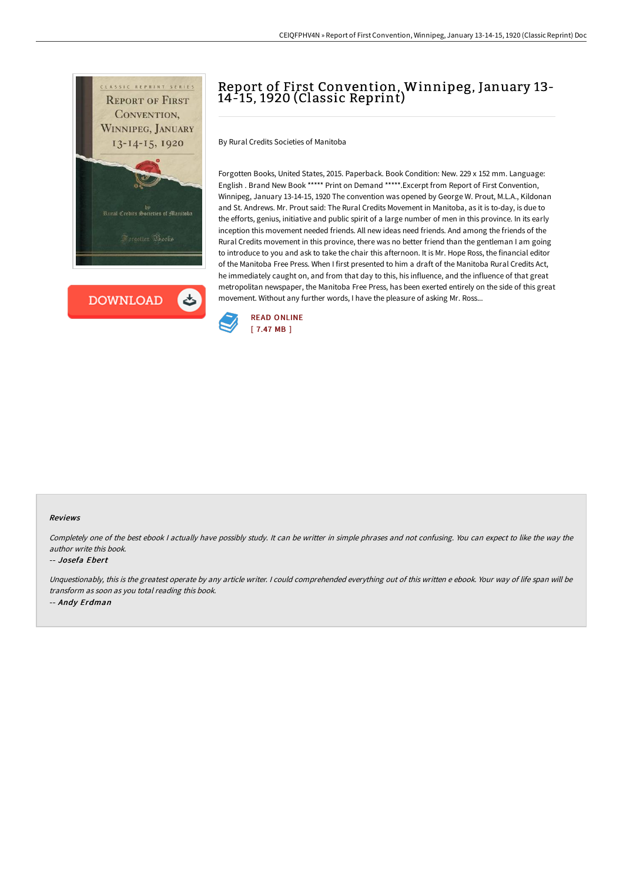



# Report of First Convention, Winnipeg, January 13- 14-15, 1920 (Classic Reprint)

By Rural Credits Societies of Manitoba

Forgotten Books, United States, 2015. Paperback. Book Condition: New. 229 x 152 mm. Language: English . Brand New Book \*\*\*\*\* Print on Demand \*\*\*\*\*.Excerpt from Report of First Convention, Winnipeg, January 13-14-15, 1920 The convention was opened by George W. Prout, M.L.A., Kildonan and St. Andrews. Mr. Prout said: The Rural Credits Movement in Manitoba, as it is to-day, is due to the efforts, genius, initiative and public spirit of a large number of men in this province. In its early inception this movement needed friends. All new ideas need friends. And among the friends of the Rural Credits movement in this province, there was no better friend than the gentleman I am going to introduce to you and ask to take the chair this afternoon. It is Mr. Hope Ross, the financial editor of the Manitoba Free Press. When I first presented to him a draft of the Manitoba Rural Credits Act, he immediately caught on, and from that day to this, his influence, and the influence of that great metropolitan newspaper, the Manitoba Free Press, has been exerted entirely on the side of this great movement. Without any further words, I have the pleasure of asking Mr. Ross...



### Reviews

Completely one of the best ebook <sup>I</sup> actually have possibly study. It can be writter in simple phrases and not confusing. You can expect to like the way the author write this book.

### -- Josefa Ebert

Unquestionably, this is the greatest operate by any article writer. <sup>I</sup> could comprehended everything out of this written <sup>e</sup> ebook. Your way of life span will be transform as soon as you total reading this book. -- Andy Erdman